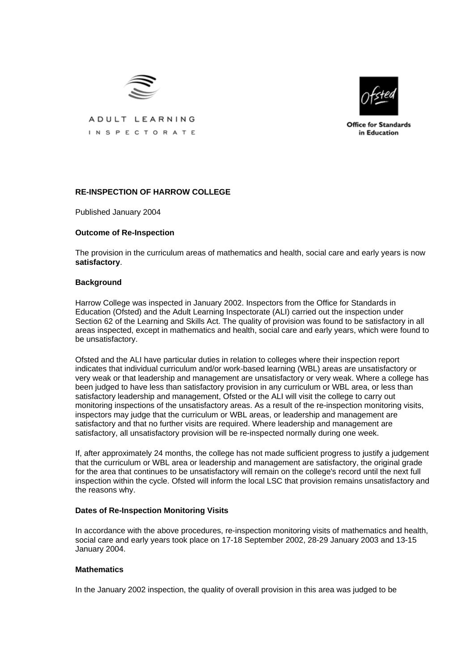



ADULT LEARNING INSPECTORATE

**Office for Standards** in Education

# **RE-INSPECTION OF HARROW COLLEGE**

Published January 2004

## **Outcome of Re-Inspection**

The provision in the curriculum areas of mathematics and health, social care and early years is now **satisfactory**.

### **Background**

Harrow College was inspected in January 2002. Inspectors from the Office for Standards in Education (Ofsted) and the Adult Learning Inspectorate (ALI) carried out the inspection under Section 62 of the Learning and Skills Act. The quality of provision was found to be satisfactory in all areas inspected, except in mathematics and health, social care and early years, which were found to be unsatisfactory.

Ofsted and the ALI have particular duties in relation to colleges where their inspection report indicates that individual curriculum and/or work-based learning (WBL) areas are unsatisfactory or very weak or that leadership and management are unsatisfactory or very weak. Where a college has been judged to have less than satisfactory provision in any curriculum or WBL area, or less than satisfactory leadership and management, Ofsted or the ALI will visit the college to carry out monitoring inspections of the unsatisfactory areas. As a result of the re-inspection monitoring visits, inspectors may judge that the curriculum or WBL areas, or leadership and management are satisfactory and that no further visits are required. Where leadership and management are satisfactory, all unsatisfactory provision will be re-inspected normally during one week.

If, after approximately 24 months, the college has not made sufficient progress to justify a judgement that the curriculum or WBL area or leadership and management are satisfactory, the original grade for the area that continues to be unsatisfactory will remain on the college's record until the next full inspection within the cycle. Ofsted will inform the local LSC that provision remains unsatisfactory and the reasons why.

### **Dates of Re-Inspection Monitoring Visits**

In accordance with the above procedures, re-inspection monitoring visits of mathematics and health, social care and early years took place on 17-18 September 2002, 28-29 January 2003 and 13-15 January 2004.

### **Mathematics**

In the January 2002 inspection, the quality of overall provision in this area was judged to be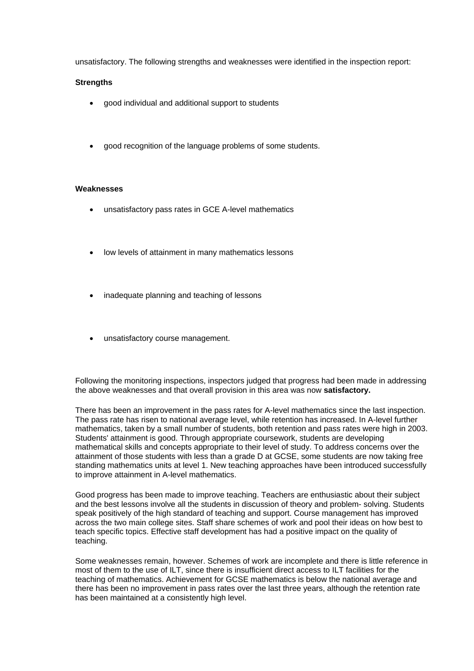unsatisfactory. The following strengths and weaknesses were identified in the inspection report:

# **Strengths**

- good individual and additional support to students
- good recognition of the language problems of some students.

## **Weaknesses**

- unsatisfactory pass rates in GCE A-level mathematics
- low levels of attainment in many mathematics lessons
- inadequate planning and teaching of lessons
- unsatisfactory course management.

Following the monitoring inspections, inspectors judged that progress had been made in addressing the above weaknesses and that overall provision in this area was now **satisfactory.** 

There has been an improvement in the pass rates for A-level mathematics since the last inspection. The pass rate has risen to national average level, while retention has increased. In A-level further mathematics, taken by a small number of students, both retention and pass rates were high in 2003. Students' attainment is good. Through appropriate coursework, students are developing mathematical skills and concepts appropriate to their level of study. To address concerns over the attainment of those students with less than a grade D at GCSE, some students are now taking free standing mathematics units at level 1. New teaching approaches have been introduced successfully to improve attainment in A-level mathematics.

Good progress has been made to improve teaching. Teachers are enthusiastic about their subject and the best lessons involve all the students in discussion of theory and problem- solving. Students speak positively of the high standard of teaching and support. Course management has improved across the two main college sites. Staff share schemes of work and pool their ideas on how best to teach specific topics. Effective staff development has had a positive impact on the quality of teaching.

Some weaknesses remain, however. Schemes of work are incomplete and there is little reference in most of them to the use of ILT, since there is insufficient direct access to ILT facilities for the teaching of mathematics. Achievement for GCSE mathematics is below the national average and there has been no improvement in pass rates over the last three years, although the retention rate has been maintained at a consistently high level.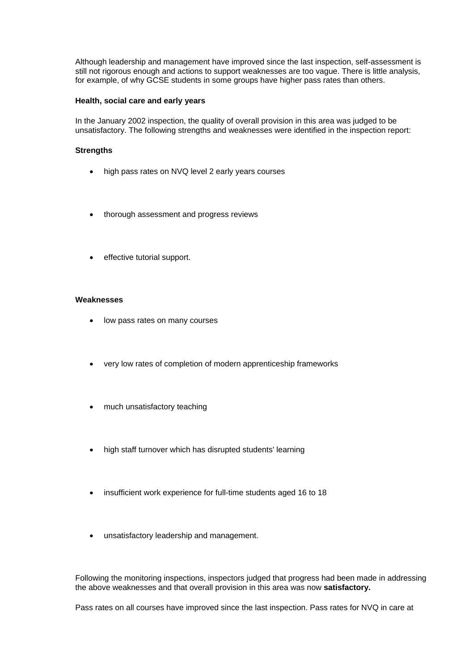Although leadership and management have improved since the last inspection, self-assessment is still not rigorous enough and actions to support weaknesses are too vague. There is little analysis, for example, of why GCSE students in some groups have higher pass rates than others.

### **Health, social care and early years**

In the January 2002 inspection, the quality of overall provision in this area was judged to be unsatisfactory. The following strengths and weaknesses were identified in the inspection report:

# **Strengths**

- high pass rates on NVQ level 2 early years courses
- thorough assessment and progress reviews
- effective tutorial support.

## **Weaknesses**

- low pass rates on many courses
- very low rates of completion of modern apprenticeship frameworks
- much unsatisfactory teaching
- high staff turnover which has disrupted students' learning
- insufficient work experience for full-time students aged 16 to 18
- unsatisfactory leadership and management.

Following the monitoring inspections, inspectors judged that progress had been made in addressing the above weaknesses and that overall provision in this area was now **satisfactory.**

Pass rates on all courses have improved since the last inspection. Pass rates for NVQ in care at